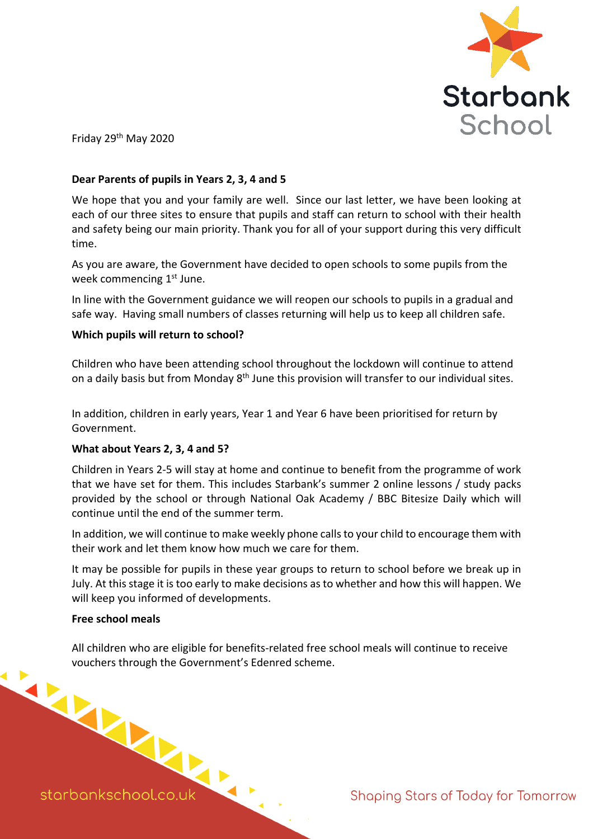

Friday 29th May 2020

## **Dear Parents of pupils in Years 2, 3, 4 and 5**

We hope that you and your family are well. Since our last letter, we have been looking at each of our three sites to ensure that pupils and staff can return to school with their health and safety being our main priority. Thank you for all of your support during this very difficult time.

As you are aware, the Government have decided to open schools to some pupils from the week commencing 1<sup>st</sup> June.

In line with the Government guidance we will reopen our schools to pupils in a gradual and safe way. Having small numbers of classes returning will help us to keep all children safe.

# **Which pupils will return to school?**

Children who have been attending school throughout the lockdown will continue to attend on a daily basis but from Monday 8<sup>th</sup> June this provision will transfer to our individual sites.

In addition, children in early years, Year 1 and Year 6 have been prioritised for return by Government.

### **What about Years 2, 3, 4 and 5?**

Children in Years 2-5 will stay at home and continue to benefit from the programme of work that we have set for them. This includes Starbank's summer 2 online lessons / study packs provided by the school or through National Oak Academy / BBC Bitesize Daily which will continue until the end of the summer term.

In addition, we will continue to make weekly phone calls to your child to encourage them with their work and let them know how much we care for them.

It may be possible for pupils in these year groups to return to school before we break up in July. At this stage it is too early to make decisions as to whether and how this will happen. We will keep you informed of developments.

### **Free school meals**

All children who are eligible for benefits-related free school meals will continue to receive vouchers through the Government's Edenred scheme.

starbankschool.co.uk